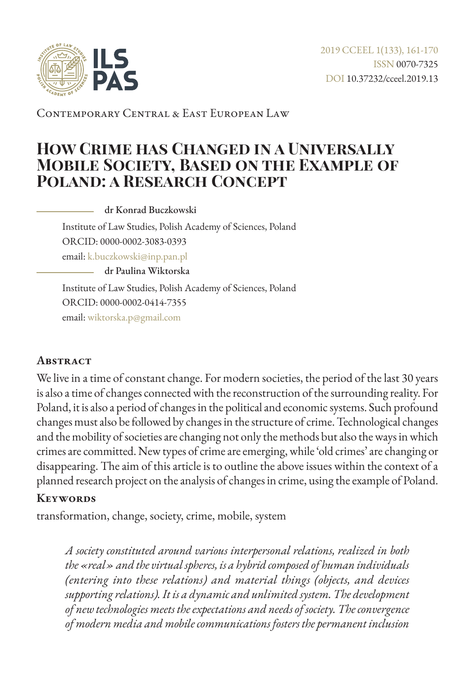

Contemporary Central & East European Law

# **How Crime has Changed in a Universally Mobile Society, Based on the Example of Poland: a Research Concept**

dr Konrad Buczkowski

Institute of Law Studies, Polish Academy of Sciences, Poland ORCID: 0000-0002-3083-0393

email: [k.buczkowski@inp.pan.pl](mailto:k.buczkowski%40inp.pan.pl?subject=)

dr Paulina Wiktorska

Institute of Law Studies, Polish Academy of Sciences, Poland ORCID: 0000-0002-0414-7355 email: [wiktorska.p@gmail.com](mailto:wiktorska.p%40gmail.com?subject=)

### **Abstract**

We live in a time of constant change. For modern societies, the period of the last 30 years is also a time of changes connected with the reconstruction of the surrounding reality. For Poland, it is also a period of changes in the political and economic systems. Such profound changes must also be followed by changes in the structure of crime. Technological changes and the mobility of societies are changing not only the methods but also the ways in which crimes are committed. New types of crime are emerging, while 'old crimes' are changing or disappearing. The aim of this article is to outline the above issues within the context of a planned research project on the analysis of changes in crime, using the example of Poland.

#### **Keywords**

transformation, change, society, crime, mobile, system

*A society constituted around various interpersonal relations, realized in both the «real» and the virtual spheres, is a hybrid composed of human individuals (entering into these relations) and material things (objects, and devices supporting relations). It is a dynamic and unlimited system. The development of new technologies meets the expectations and needs of society. The convergence of modern media and mobile communications fosters the permanent inclusion*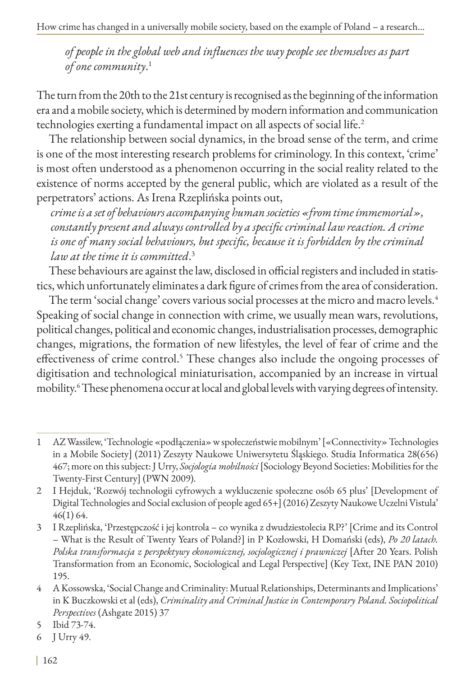*of people in the global web and influences the way people see themselves as part of one community*. 1

The turn from the 20th to the 21st century is recognised as the beginning of the information era and a mobile society, which is determined by modern information and communication technologies exerting a fundamental impact on all aspects of social life.<sup>2</sup>

The relationship between social dynamics, in the broad sense of the term, and crime is one of the most interesting research problems for criminology. In this context, 'crime' is most often understood as a phenomenon occurring in the social reality related to the existence of norms accepted by the general public, which are violated as a result of the perpetrators' actions. As Irena Rzeplińska points out,

*crime is a set of behaviours accompanying human societies «from time immemorial», constantly present and always controlled by a specific criminal law reaction. A crime is one of many social behaviours, but specific, because it is forbidden by the criminal law at the time it is committed*. 3

These behaviours are against the law, disclosed in official registers and included in statistics, which unfortunately eliminates a dark figure of crimes from the area of consideration.

The term 'social change' covers various social processes at the micro and macro levels.<sup>4</sup> Speaking of social change in connection with crime, we usually mean wars, revolutions, political changes, political and economic changes, industrialisation processes, demographic changes, migrations, the formation of new lifestyles, the level of fear of crime and the effectiveness of crime control.<sup>5</sup> These changes also include the ongoing processes of digitisation and technological miniaturisation, accompanied by an increase in virtual mobility.<sup>6</sup> These phenomena occur at local and global levels with varying degrees of intensity.

<sup>1</sup> AZ Wassilew, 'Technologie «podłączenia» w społeczeństwie mobilnym' [«Connectivity» Technologies in a Mobile Society] (2011) Zeszyty Naukowe Uniwersytetu Śląskiego. Studia Informatica 28(656) 467; more on this subject: J Urry, *Socjologia mobilności* [Sociology Beyond Societies: Mobilities for the Twenty-First Century] (PWN 2009).

<sup>2</sup> I Hejduk, 'Rozwój technologii cyfrowych a wykluczenie społeczne osób 65 plus' [Development of Digital Technologies and Social exclusion of people aged 65+] (2016) Zeszyty Naukowe Uczelni Vistula' 46(1) 64.

<sup>3</sup> I Rzeplińska, 'Przestępczość i jej kontrola – co wynika z dwudziestolecia RP?' [Crime and its Control – What is the Result of Twenty Years of Poland?] in P Kozłowski, H Domański (eds), *Po 20 latach. Polska transformacja z perspektywy ekonomicznej, socjologicznej i prawniczej* [After 20 Years. Polish Transformation from an Economic, Sociological and Legal Perspective] (Key Text, INE PAN 2010) 195.

<sup>4</sup> A Kossowska, 'Social Change and Criminality: Mutual Relationships, Determinants and Implications' in K Buczkowski et al (eds), *Criminality and Criminal Justice in Contemporary Poland. Sociopolitical Perspectives* (Ashgate 2015) 37

<sup>5</sup> Ibid 73-74.

<sup>6</sup> J Urry 49.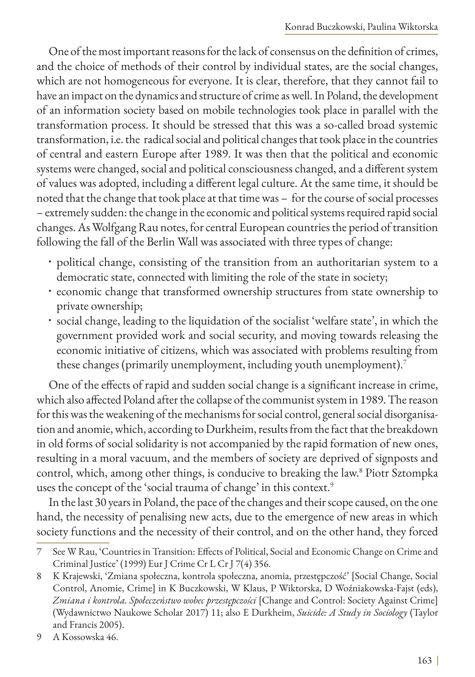One of the most important reasons for the lack of consensus on the definition of crimes, and the choice of methods of their control by individual states, are the social changes, which are not homogeneous for everyone. It is clear, therefore, that they cannot fail to have an impact on the dynamics and structure of crime as well. In Poland, the development of an information society based on mobile technologies took place in parallel with the transformation process. It should be stressed that this was a so-called broad systemic transformation, i.e. the radical social and political changes that took place in the countries of central and eastern Europe after 1989. It was then that the political and economic systems were changed, social and political consciousness changed, and a different system of values was adopted, including a different legal culture. At the same time, it should be noted that the change that took place at that time was – for the course of social processes – extremely sudden: the change in the economic and political systems required rapid social changes. As Wolfgang Rau notes, for central European countries the period of transition following the fall of the Berlin Wall was associated with three types of change:

- political change, consisting of the transition from an authoritarian system to a democratic state, connected with limiting the role of the state in society;
- economic change that transformed ownership structures from state ownership to private ownership;
- social change, leading to the liquidation of the socialist 'welfare state', in which the government provided work and social security, and moving towards releasing the economic initiative of citizens, which was associated with problems resulting from these changes (primarily unemployment, including youth unemployment).7

One of the effects of rapid and sudden social change is a significant increase in crime, which also affected Poland after the collapse of the communist system in 1989. The reason for this was the weakening of the mechanisms for social control, general social disorganisation and anomie, which, according to Durkheim, results from the fact that the breakdown in old forms of social solidarity is not accompanied by the rapid formation of new ones, resulting in a moral vacuum, and the members of society are deprived of signposts and control, which, among other things, is conducive to breaking the law.8 Piotr Sztompka uses the concept of the 'social trauma of change' in this context.<sup>9</sup>

In the last 30 years in Poland, the pace of the changes and their scope caused, on the one hand, the necessity of penalising new acts, due to the emergence of new areas in which society functions and the necessity of their control, and on the other hand, they forced

<sup>7</sup> See W Rau, 'Countries in Transition: Effects of Political, Social and Economic Change on Crime and Criminal Justice' (1999) Eur J Crime Cr L Cr J 7(4) 356.

<sup>8</sup> K Krajewski, 'Zmiana społeczna, kontrola społeczna, anomia, przestępczość' [Social Change, Social Control, Anomie, Crime] in K Buczkowski, W Klaus, P Wiktorska, D Woźniakowska-Fajst (eds), *Zmiana i kontrola. Społeczeństwo wobec przestępczości* [Change and Control: Society Against Crime] (Wydawnictwo Naukowe Scholar 2017) 11; also E Durkheim, *Suicide: A Study in Sociology* (Taylor and Francis 2005).

<sup>9</sup> A Kossowska 46.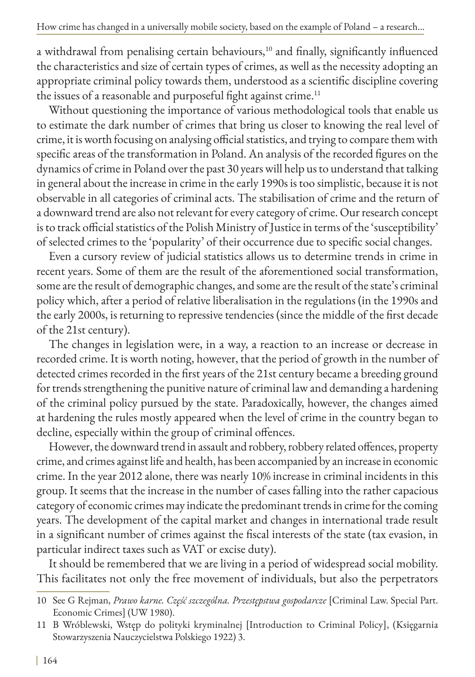a withdrawal from penalising certain behaviours,<sup>10</sup> and finally, significantly influenced the characteristics and size of certain types of crimes, as well as the necessity adopting an appropriate criminal policy towards them, understood as a scientific discipline covering the issues of a reasonable and purposeful fight against crime.<sup>11</sup>

Without questioning the importance of various methodological tools that enable us to estimate the dark number of crimes that bring us closer to knowing the real level of crime, it is worth focusing on analysing official statistics, and trying to compare them with specific areas of the transformation in Poland. An analysis of the recorded figures on the dynamics of crime in Poland over the past 30 years will help us to understand that talking in general about the increase in crime in the early 1990s is too simplistic, because it is not observable in all categories of criminal acts. The stabilisation of crime and the return of a downward trend are also not relevant for every category of crime. Our research concept is to track official statistics of the Polish Ministry of Justice in terms of the 'susceptibility' of selected crimes to the 'popularity' of their occurrence due to specific social changes.

Even a cursory review of judicial statistics allows us to determine trends in crime in recent years. Some of them are the result of the aforementioned social transformation, some are the result of demographic changes, and some are the result of the state's criminal policy which, after a period of relative liberalisation in the regulations (in the 1990s and the early 2000s, is returning to repressive tendencies (since the middle of the first decade of the 21st century).

The changes in legislation were, in a way, a reaction to an increase or decrease in recorded crime. It is worth noting, however, that the period of growth in the number of detected crimes recorded in the first years of the 21st century became a breeding ground for trends strengthening the punitive nature of criminal law and demanding a hardening of the criminal policy pursued by the state. Paradoxically, however, the changes aimed at hardening the rules mostly appeared when the level of crime in the country began to decline, especially within the group of criminal offences.

However, the downward trend in assault and robbery, robbery related offences, property crime, and crimes against life and health, has been accompanied by an increase in economic crime. In the year 2012 alone, there was nearly 10% increase in criminal incidents in this group. It seems that the increase in the number of cases falling into the rather capacious category of economic crimes may indicate the predominant trends in crime for the coming years. The development of the capital market and changes in international trade result in a significant number of crimes against the fiscal interests of the state (tax evasion, in particular indirect taxes such as VAT or excise duty).

It should be remembered that we are living in a period of widespread social mobility. This facilitates not only the free movement of individuals, but also the perpetrators

<sup>10</sup> See G Rejman, *Prawo karne. Część szczególna. Przestępstwa gospodarcze* [Criminal Law. Special Part. Economic Crimes] (UW 1980).

<sup>11</sup> B Wróblewski, Wstęp do polityki kryminalnej [Introduction to Criminal Policy], (Księgarnia Stowarzyszenia Nauczycielstwa Polskiego 1922) 3.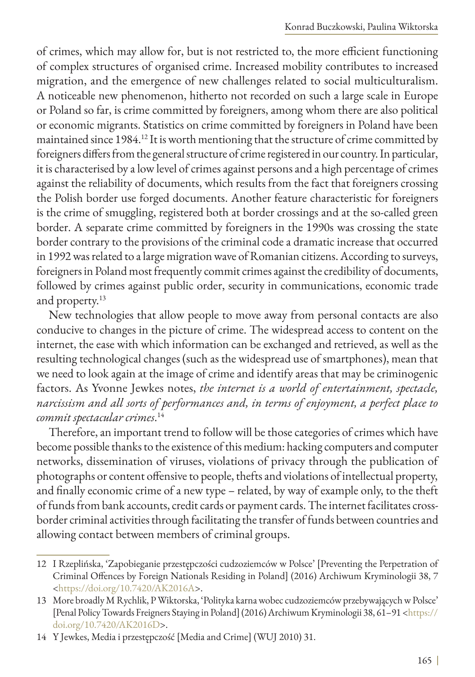of crimes, which may allow for, but is not restricted to, the more efficient functioning of complex structures of organised crime. Increased mobility contributes to increased migration, and the emergence of new challenges related to social multiculturalism. A noticeable new phenomenon, hitherto not recorded on such a large scale in Europe or Poland so far, is crime committed by foreigners, among whom there are also political or economic migrants. Statistics on crime committed by foreigners in Poland have been maintained since 1984.12 It is worth mentioning that the structure of crime committed by foreigners differs from the general structure of crime registered in our country. In particular, it is characterised by a low level of crimes against persons and a high percentage of crimes against the reliability of documents, which results from the fact that foreigners crossing the Polish border use forged documents. Another feature characteristic for foreigners is the crime of smuggling, registered both at border crossings and at the so-called green border. A separate crime committed by foreigners in the 1990s was crossing the state border contrary to the provisions of the criminal code a dramatic increase that occurred in 1992 was related to a large migration wave of Romanian citizens. According to surveys, foreigners in Poland most frequently commit crimes against the credibility of documents, followed by crimes against public order, security in communications, economic trade and property.<sup>13</sup>

New technologies that allow people to move away from personal contacts are also conducive to changes in the picture of crime. The widespread access to content on the internet, the ease with which information can be exchanged and retrieved, as well as the resulting technological changes (such as the widespread use of smartphones), mean that we need to look again at the image of crime and identify areas that may be criminogenic factors. As Yvonne Jewkes notes, *the internet is a world of entertainment, spectacle, narcissism and all sorts of performances and, in terms of enjoyment, a perfect place to commit spectacular crimes*. 14

Therefore, an important trend to follow will be those categories of crimes which have become possible thanks to the existence of this medium: hacking computers and computer networks, dissemination of viruses, violations of privacy through the publication of photographs or content offensive to people, thefts and violations of intellectual property, and finally economic crime of a new type – related, by way of example only, to the theft of funds from bank accounts, credit cards or payment cards. The internet facilitates crossborder criminal activities through facilitating the transfer of funds between countries and allowing contact between members of criminal groups.

<sup>12</sup> I Rzeplińska, 'Zapobieganie przestępczości cudzoziemców w Polsce' [Preventing the Perpetration of Criminal Offences by Foreign Nationals Residing in Poland] (2016) Archiwum Kryminologii 38, 7 <<https://doi.org/10.7420/AK2016A>>.

<sup>13</sup> More broadly M Rychlik, P Wiktorska, 'Polityka karna wobec cudzoziemców przebywających w Polsce' [Penal Policy Towards Freigners Staying in Poland] (2016) Archiwum Kryminologii 38, 61–91 [<https://](https://doi.org/10.7420/AK2016D) [doi.org/10.7420/AK2016D](https://doi.org/10.7420/AK2016D)>.

<sup>14</sup> Y Jewkes, Media i przestępczość [Media and Crime] (WUJ 2010) 31.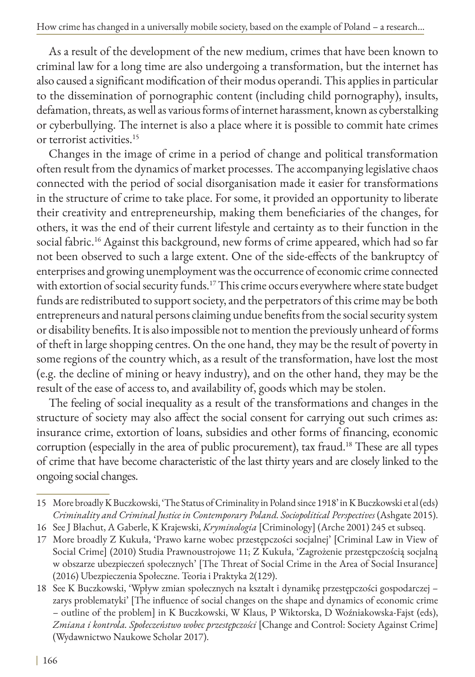As a result of the development of the new medium, crimes that have been known to criminal law for a long time are also undergoing a transformation, but the internet has also caused a significant modification of their modus operandi. This applies in particular to the dissemination of pornographic content (including child pornography), insults, defamation, threats, as well as various forms of internet harassment, known as cyberstalking or cyberbullying. The internet is also a place where it is possible to commit hate crimes or terrorist activities.15

Changes in the image of crime in a period of change and political transformation often result from the dynamics of market processes. The accompanying legislative chaos connected with the period of social disorganisation made it easier for transformations in the structure of crime to take place. For some, it provided an opportunity to liberate their creativity and entrepreneurship, making them beneficiaries of the changes, for others, it was the end of their current lifestyle and certainty as to their function in the social fabric.<sup>16</sup> Against this background, new forms of crime appeared, which had so far not been observed to such a large extent. One of the side-effects of the bankruptcy of enterprises and growing unemployment was the occurrence of economic crime connected with extortion of social security funds.<sup>17</sup> This crime occurs everywhere where state budget funds are redistributed to support society, and the perpetrators of this crime may be both entrepreneurs and natural persons claiming undue benefits from the social security system or disability benefits. It is also impossible not to mention the previously unheard of forms of theft in large shopping centres. On the one hand, they may be the result of poverty in some regions of the country which, as a result of the transformation, have lost the most (e.g. the decline of mining or heavy industry), and on the other hand, they may be the result of the ease of access to, and availability of, goods which may be stolen.

The feeling of social inequality as a result of the transformations and changes in the structure of society may also affect the social consent for carrying out such crimes as: insurance crime, extortion of loans, subsidies and other forms of financing, economic corruption (especially in the area of public procurement), tax fraud.<sup>18</sup> These are all types of crime that have become characteristic of the last thirty years and are closely linked to the ongoing social changes.

<sup>15</sup> More broadly K Buczkowski, 'The Status of Criminality in Poland since 1918' in K Buczkowski et al (eds) *Criminality and Criminal Justice in Contemporary Poland. Sociopolitical Perspectives* (Ashgate 2015).

<sup>16</sup> See J Błachut, A Gaberle, K Krajewski, *Kryminologia* [Criminology] (Arche 2001) 245 et subseq.

<sup>17</sup> More broadly Z Kukuła, 'Prawo karne wobec przestępczości socjalnej' [Criminal Law in View of Social Crime] (2010) Studia Prawnoustrojowe 11; Z Kukuła, 'Zagrożenie przestępczością socjalną w obszarze ubezpieczeń społecznych' [The Threat of Social Crime in the Area of Social Insurance] (2016) Ubezpieczenia Społeczne. Teoria i Praktyka 2(129).

<sup>18</sup> See K Buczkowski, 'Wpływ zmian społecznych na kształt i dynamikę przestępczości gospodarczej – zarys problematyki' [The influence of social changes on the shape and dynamics of economic crime – outline of the problem] in K Buczkowski, W Klaus, P Wiktorska, D Woźniakowska-Fajst (eds), *Zmiana i kontrola. Społeczeństwo wobec przestępczości* [Change and Control: Society Against Crime] (Wydawnictwo Naukowe Scholar 2017).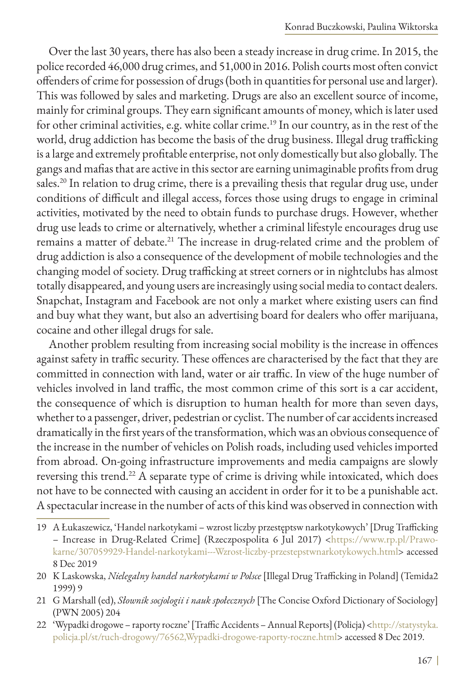Over the last 30 years, there has also been a steady increase in drug crime. In 2015, the police recorded 46,000 drug crimes, and 51,000 in 2016. Polish courts most often convict offenders of crime for possession of drugs (both in quantities for personal use and larger). This was followed by sales and marketing. Drugs are also an excellent source of income, mainly for criminal groups. They earn significant amounts of money, which is later used for other criminal activities, e.g. white collar crime.<sup>19</sup> In our country, as in the rest of the world, drug addiction has become the basis of the drug business. Illegal drug trafficking is a large and extremely profitable enterprise, not only domestically but also globally. The gangs and mafias that are active in this sector are earning unimaginable profits from drug sales.<sup>20</sup> In relation to drug crime, there is a prevailing thesis that regular drug use, under conditions of difficult and illegal access, forces those using drugs to engage in criminal activities, motivated by the need to obtain funds to purchase drugs. However, whether drug use leads to crime or alternatively, whether a criminal lifestyle encourages drug use remains a matter of debate.<sup>21</sup> The increase in drug-related crime and the problem of drug addiction is also a consequence of the development of mobile technologies and the changing model of society. Drug trafficking at street corners or in nightclubs has almost totally disappeared, and young users are increasingly using social media to contact dealers. Snapchat, Instagram and Facebook are not only a market where existing users can find and buy what they want, but also an advertising board for dealers who offer marijuana, cocaine and other illegal drugs for sale.

Another problem resulting from increasing social mobility is the increase in offences against safety in traffic security. These offences are characterised by the fact that they are committed in connection with land, water or air traffic. In view of the huge number of vehicles involved in land traffic, the most common crime of this sort is a car accident, the consequence of which is disruption to human health for more than seven days, whether to a passenger, driver, pedestrian or cyclist. The number of car accidents increased dramatically in the first years of the transformation, which was an obvious consequence of the increase in the number of vehicles on Polish roads, including used vehicles imported from abroad. On-going infrastructure improvements and media campaigns are slowly reversing this trend.<sup>22</sup> A separate type of crime is driving while intoxicated, which does not have to be connected with causing an accident in order for it to be a punishable act. A spectacular increase in the number of acts of this kind was observed in connection with

<sup>19</sup> A Łukaszewicz, 'Handel narkotykami – wzrost liczby przestęptsw narkotykowych' [Drug Trafficking – Increase in Drug-Related Crime] (Rzeczpospolita 6 Jul 2017) [<https://www.rp.pl/Prawo](https://www.rp.pl/Prawo-karne/307059929-Handel-narkotykami---Wzrost-liczby-przestepstwnarkotykowych.)[karne/307059929-Handel-narkotykami---Wzrost-liczby-przestepstwnarkotykowych.html](https://www.rp.pl/Prawo-karne/307059929-Handel-narkotykami---Wzrost-liczby-przestepstwnarkotykowych.)> accessed 8 Dec 2019

<sup>20</sup> K Laskowska, *Nielegalny handel narkotykami w Polsce* [Illegal Drug Trafficking in Poland] (Temida2 1999) 9

<sup>21</sup> G Marshall (ed), *Słownik socjologii i nauk społecznych* [The Concise Oxford Dictionary of Sociology] (PWN 2005) 204

<sup>22 &#</sup>x27;Wypadki drogowe – raporty roczne' [Traffic Accidents – Annual Reports] (Policja) <[http://statystyka.](http://statystyka.policja.pl/st/ruch-drogowy/76562,Wypadki-drogowe-raporty-roczne.html) [policja.pl/st/ruch-drogowy/76562,Wypadki-drogowe-raporty-roczne.html](http://statystyka.policja.pl/st/ruch-drogowy/76562,Wypadki-drogowe-raporty-roczne.html)>accessed 8 Dec 2019.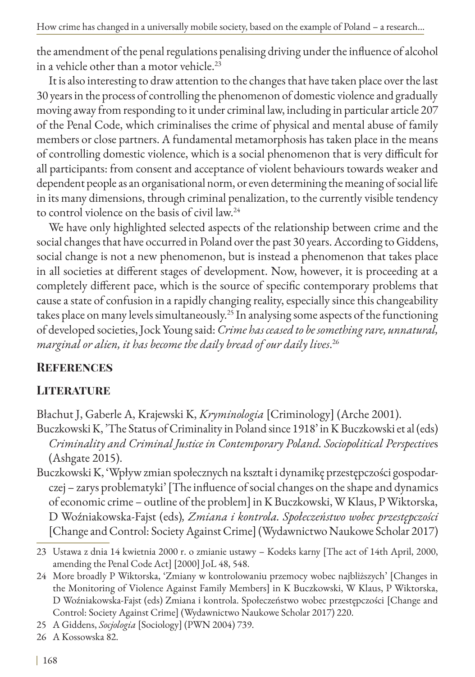How crime has changed in a universally mobile society, based on the example of Poland – a research...

the amendment of the penal regulations penalising driving under the influence of alcohol in a vehicle other than a motor vehicle.<sup>23</sup>

It is also interesting to draw attention to the changes that have taken place over the last 30 years in the process of controlling the phenomenon of domestic violence and gradually moving away from responding to it under criminal law, including in particular article 207 of the Penal Code, which criminalises the crime of physical and mental abuse of family members or close partners. A fundamental metamorphosis has taken place in the means of controlling domestic violence, which is a social phenomenon that is very difficult for all participants: from consent and acceptance of violent behaviours towards weaker and dependent people as an organisational norm, or even determining the meaning of social life in its many dimensions, through criminal penalization, to the currently visible tendency to control violence on the basis of civil law.24

We have only highlighted selected aspects of the relationship between crime and the social changes that have occurred in Poland over the past 30 years. According to Giddens, social change is not a new phenomenon, but is instead a phenomenon that takes place in all societies at different stages of development. Now, however, it is proceeding at a completely different pace, which is the source of specific contemporary problems that cause a state of confusion in a rapidly changing reality, especially since this changeability takes place on many levels simultaneously.<sup>25</sup> In analysing some aspects of the functioning of developed societies, Jock Young said: *Crime has ceased to be something rare, unnatural, marginal or alien, it has become the daily bread of our daily lives*. 26

### **References**

### **Literature**

Błachut J, Gaberle A, Krajewski K, *Kryminologia* [Criminology] (Arche 2001).

Buczkowski K, 'The Status of Criminality in Poland since 1918' in K Buczkowski et al (eds) *Criminality and Criminal Justice in Contemporary Poland. Sociopolitical Perspective*s (Ashgate 2015).

Buczkowski K, 'Wpływ zmian społecznych na kształt i dynamikę przestępczości gospodarczej – zarys problematyki' [The influence of social changes on the shape and dynamics of economic crime – outline of the problem] in K Buczkowski, W Klaus, P Wiktorska, D Woźniakowska-Fajst (eds)*, Zmiana i kontrola. Społeczeństwo wobec przestępczości* [Change and Control: Society Against Crime] (Wydawnictwo Naukowe Scholar 2017)

<sup>23</sup> Ustawa z dnia 14 kwietnia 2000 r. o zmianie ustawy – Kodeks karny [The act of 14th April, 2000, amending the Penal Code Act] [2000] JoL 48, 548.

<sup>24</sup> More broadly P Wiktorska, 'Zmiany w kontrolowaniu przemocy wobec najbliższych' [Changes in the Monitoring of Violence Against Family Members] in K Buczkowski, W Klaus, P Wiktorska, D Woźniakowska-Fajst (eds) Zmiana i kontrola. Społeczeństwo wobec przestępczości [Change and Control: Society Against Crime] (Wydawnictwo Naukowe Scholar 2017) 220.

<sup>25</sup> A Giddens, *Socjologia* [Sociology] (PWN 2004) 739.

<sup>26</sup> A Kossowska 82.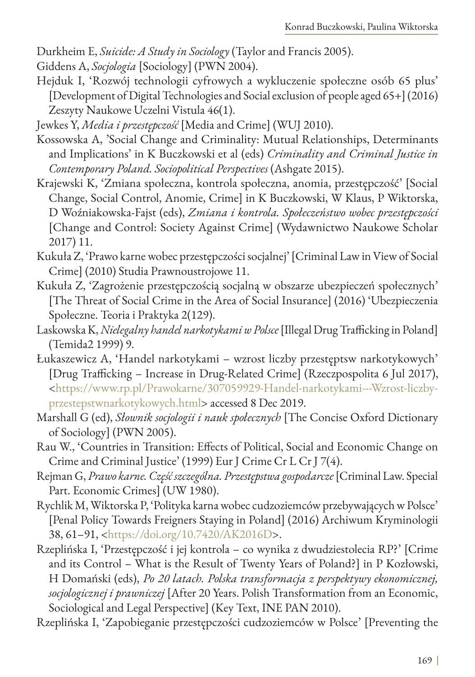Durkheim E, *Suicide: A Study in Sociology* (Taylor and Francis 2005).

Giddens A, *Socjologia* [Sociology] (PWN 2004).

Hejduk I, 'Rozwój technologii cyfrowych a wykluczenie społeczne osób 65 plus' [Development of Digital Technologies and Social exclusion of people aged 65+] (2016) Zeszyty Naukowe Uczelni Vistula 46(1).

- Kossowska A, 'Social Change and Criminality: Mutual Relationships, Determinants and Implications' in K Buczkowski et al (eds) *Criminality and Criminal Justice in Contemporary Poland. Sociopolitical Perspectives* (Ashgate 2015).
- Krajewski K, 'Zmiana społeczna, kontrola społeczna, anomia, przestępczość' [Social Change, Social Control, Anomie, Crime] in K Buczkowski, W Klaus, P Wiktorska, D Woźniakowska-Fajst (eds), *Zmiana i kontrola. Społeczeństwo wobec przestępczości*  [Change and Control: Society Against Crime] (Wydawnictwo Naukowe Scholar 2017) 11.
- Kukuła Z, 'Prawo karne wobec przestępczości socjalnej' [Criminal Law in View of Social Crime] (2010) Studia Prawnoustrojowe 11.
- Kukuła Z, 'Zagrożenie przestępczością socjalną w obszarze ubezpieczeń społecznych' [The Threat of Social Crime in the Area of Social Insurance] (2016) 'Ubezpieczenia Społeczne. Teoria i Praktyka 2(129).
- Laskowska K, *Nielegalny handel narkotykami w Polsce* [Illegal Drug Trafficking in Poland] (Temida2 1999) 9.
- Łukaszewicz A, 'Handel narkotykami wzrost liczby przestęptsw narkotykowych' [Drug Trafficking – Increase in Drug-Related Crime] (Rzeczpospolita 6 Jul 2017), <[https://www.rp.pl/Prawokarne/307059929-Handel-narkotykami---Wzrost-liczby](https://www.rp.pl/Prawokarne/307059929-Handel-narkotykami---Wzrost-liczby-przestepstwnarkotykowych.h)[przestepstwnarkotykowych.html](https://www.rp.pl/Prawokarne/307059929-Handel-narkotykami---Wzrost-liczby-przestepstwnarkotykowych.h)> accessed 8 Dec 2019.
- Marshall G (ed), *Słownik socjologii i nauk społecznych* [The Concise Oxford Dictionary of Sociology] (PWN 2005).
- Rau W., 'Countries in Transition: Effects of Political, Social and Economic Change on Crime and Criminal Justice' (1999) Eur J Crime Cr L Cr J 7(4).
- Rejman G, *Prawo karne. Część szczególna. Przestępstwa gospodarcze* [Criminal Law. Special Part. Economic Crimes] (UW 1980).
- Rychlik M, Wiktorska P, 'Polityka karna wobec cudzoziemców przebywających w Polsce' [Penal Policy Towards Freigners Staying in Poland] (2016) Archiwum Kryminologii 38, 61–91, [<https://doi.org/10.7420/AK2016D](https://doi.org/10.7420/AK2016D)>.
- Rzeplińska I, 'Przestępczość i jej kontrola co wynika z dwudziestolecia RP?' [Crime and its Control – What is the Result of Twenty Years of Poland?] in P Kozłowski, H Domański (eds), *Po 20 latach. Polska transformacja z perspektywy ekonomicznej, socjologicznej i prawniczej* [After 20 Years. Polish Transformation from an Economic, Sociological and Legal Perspective] (Key Text, INE PAN 2010).
- Rzeplińska I, 'Zapobieganie przestępczości cudzoziemców w Polsce' [Preventing the

Jewkes Y, *Media i przestępczość* [Media and Crime] (WUJ 2010).